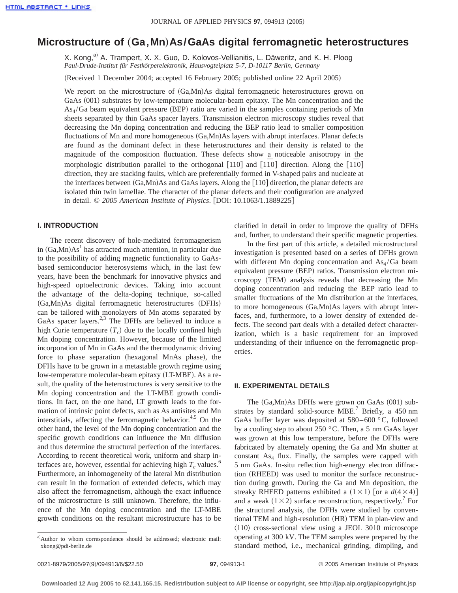# **Microstructure of** "**Ga,Mn**…**As/GaAs digital ferromagnetic heterostructures**

X. Kong,<sup>a)</sup> A. Trampert, X. X. Guo, D. Kolovos-Vellianitis, L. Däweritz, and K. H. Ploog *Paul-Drude-Institut für Festkörperelektronik, Hausvogteiplatz 5-7, D-10117 Berlin, Germany*

(Received 1 December 2004; accepted 16 February 2005; published online 22 April 2005)

We report on the microstructure of  $(Ga, Mn)As$  digital ferromagnetic heterostructures grown on GaAs (001) substrates by low-temperature molecular-beam epitaxy. The Mn concentration and the  $As<sub>4</sub>/Ga$  beam equivalent pressure (BEP) ratio are varied in the samples containing periods of Mn sheets separated by thin GaAs spacer layers. Transmission electron microscopy studies reveal that decreasing the Mn doping concentration and reducing the BEP ratio lead to smaller composition fluctuations of Mn and more homogeneous  $(Ga, Mn)As$  layers with abrupt interfaces. Planar defects are found as the dominant defect in these heterostructures and their density is related to the magnitude of the composition fluctuation. These defects show a noticeable anisotropy in the morphologic distribution parallel to the orthogonal  $[110]$  and  $[1\overline{10}]$  direction. Along the  $[1\overline{10}]$ direction, they are stacking faults, which are preferentially formed in V-shaped pairs and nucleate at the interfaces between  $(Ga, Mn)As$  and GaAs layers. Along the [110] direction, the planar defects are isolated thin twin lamellae. The character of the planar defects and their configuration are analyzed in detail. © 2005 American Institute of Physics. [DOI: 10.1063/1.1889225]

# **I. INTRODUCTION**

The recent discovery of hole-mediated ferromagnetism in  $(Ga, Mn)As<sup>1</sup>$  has attracted much attention, in particular due to the possibility of adding magnetic functionality to GaAsbased semiconductor heterosystems which, in the last few years, have been the benchmark for innovative physics and high-speed optoelectronic devices. Taking into account the advantage of the delta-doping technique, so-called  $(Ga, Mn)As$  digital ferromagnetic heterostructures  $(DFHs)$ can be tailored with monolayers of Mn atoms separated by GaAs spacer layers. $2,3$  The DFHs are believed to induce a high Curie temperature  $(T_c)$  due to the locally confined high Mn doping concentration. However, because of the limited incorporation of Mn in GaAs and the thermodynamic driving force to phase separation (hexagonal MnAs phase), the DFHs have to be grown in a metastable growth regime using low-temperature molecular-beam epitaxy (LT-MBE). As a result, the quality of the heterostructures is very sensitive to the Mn doping concentration and the LT-MBE growth conditions. In fact, on the one hand, LT growth leads to the formation of intrinsic point defects, such as As antisites and Mn interstitials, affecting the ferromagnetic behavior.<sup>4,5</sup> On the other hand, the level of the Mn doping concentration and the specific growth conditions can influence the Mn diffusion and thus determine the structural perfection of the interfaces. According to recent theoretical work, uniform and sharp interfaces are, however, essential for achieving high  $T_c$  values.<sup>6</sup> Furthermore, an inhomogeneity of the lateral Mn distribution can result in the formation of extended defects, which may also affect the ferromagnetism, although the exact influence of the microstructure is still unknown. Therefore, the influence of the Mn doping concentration and the LT-MBE growth conditions on the resultant microstructure has to be clarified in detail in order to improve the quality of DFHs and, further, to understand their specific magnetic properties.

In the first part of this article, a detailed microstructural investigation is presented based on a series of DFHs grown with different Mn doping concentration and  $As<sub>4</sub>/Ga$  beam equivalent pressure (BEP) ratios. Transmission electron microscopy (TEM) analysis reveals that decreasing the Mn doping concentration and reducing the BEP ratio lead to smaller fluctuations of the Mn distribution at the interfaces, to more homogeneous  $(Ga, Mn)As$  layers with abrupt interfaces, and, furthermore, to a lower density of extended defects. The second part deals with a detailed defect characterization, which is a basic requirement for an improved understanding of their influence on the ferromagnetic properties.

### **II. EXPERIMENTAL DETAILS**

The  $(Ga, Mn)As$  DFHs were grown on GaAs  $(001)$  substrates by standard solid-source  $MBE$ <sup>7</sup> Briefly, a 450 nm GaAs buffer layer was deposited at 580–600 °C, followed by a cooling step to about 250 °C. Then, a 5 nm GaAs layer was grown at this low temperature, before the DFHs were fabricated by alternately opening the Ga and Mn shutter at constant  $As<sub>4</sub>$  flux. Finally, the samples were capped with 5 nm GaAs. In-situ reflection high-energy electron diffraction (RHEED) was used to monitor the surface reconstruction during growth. During the Ga and Mn deposition, the streaky RHEED patterns exhibited a  $(1 \times 1)$  [or a  $d(4 \times 4)$ ] and a weak  $(1 \times 2)$  surface reconstruction, respectively.<sup>7</sup> For the structural analysis, the DFHs were studied by conventional TEM and high-resolution (HR) TEM in plan-view and  $\langle 110 \rangle$  cross-sectional view using a JEOL 3010 microscope operating at 300 kV. The TEM samples were prepared by the standard method, i.e., mechanical grinding, dimpling, and

a)Author to whom correspondence should be addressed; electronic mail: xkong@pdi-berlin.de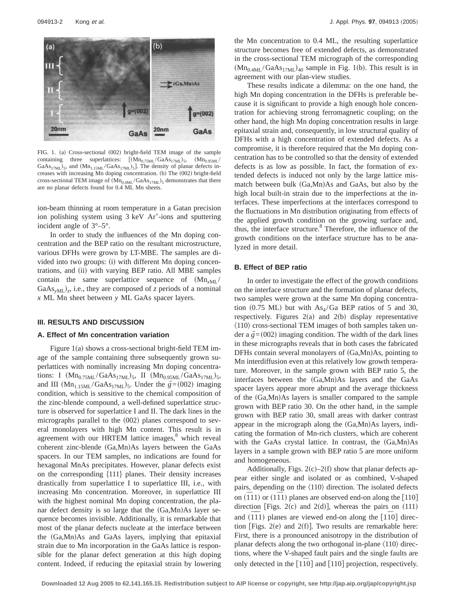

FIG. 1. (a) Cross-sectional (002) bright-field TEM image of the sample containing three superlattices:  $[(Mn<sub>0.75ML</sub>/GaAs<sub>17ML</sub>)<sub>5</sub>, (Mn<sub>0.95ML</sub>/$ GaAs<sub>17ML</sub>)<sub>5</sub>, and  $(Mn_{1.15ML}/GaAs_{17ML})$ <sub>5</sub>]. The density of planar defects increases with increasing Mn doping concentration. (b) The (002) bright-field cross-sectional TEM image of  $(Mn_{0.4ML}/GaAs_{17ML})$ <sub>5</sub> demonstrates that there are no planar defects found for 0.4 ML Mn sheets.

ion-beam thinning at room temperature in a Gatan precision ion polishing system using 3 keV Ar<sup>+</sup>-ions and sputtering incident angle of 3°–5°.

In order to study the influences of the Mn doping concentration and the BEP ratio on the resultant microstructure, various DFHs were grown by LT-MBE. The samples are divided into two groups: (i) with different Mn doping concentrations, and (ii) with varying BEP ratio. All MBE samples contain the same superlattice sequence of  $(Mn<sub>xML</sub>/s)$  $GaAs<sub>vMI</sub>$ <sub>z</sub>, i.e., they are composed of *z* periods of a nominal *x* ML Mn sheet between *y* ML GaAs spacer layers.

#### **III. RESULTS AND DISCUSSION**

# **A. Effect of Mn concentration variation**

Figure  $1(a)$  shows a cross-sectional bright-field TEM image of the sample containing three subsequently grown superlattices with nominally increasing Mn doping concentrations: I  $(Mn_{0.75ML}/GaAs<sub>17ML</sub>)_5$ , II  $(Mn_{0.95ML}/GaAs<sub>17ML</sub>)_5$ , and III ( $\text{Mn}_{1.15\text{ML}}/\text{GaAs}_{17\text{ML}}$ )<sub>5</sub>. Under the  $g = (002)$  imaging condition, which is sensitive to the chemical composition of the zinc-blende compound, a well-defined superlattice structure is observed for superlattice I and II. The dark lines in the micrographs parallel to the  $(002)$  planes correspond to several monolayers with high Mn content. This result is in agreement with our HRTEM lattice images, $8$  which reveal coherent zinc-blende  $(Ga, Mn)As$  layers between the  $GaAs$ spacers. In our TEM samples, no indications are found for hexagonal MnAs precipitates. However, planar defects exist on the corresponding  $\{111\}$  planes. Their density increases drastically from superlattice I to superlattice III, i.e., with increasing Mn concentration. Moreover, in superlattice III with the highest nominal Mn doping concentration, the planar defect density is so large that the  $(Ga, Mn)As$  layer sequence becomes invisible. Additionally, it is remarkable that most of the planar defects nucleate at the interface between the  $(Ga, Mn)As$  and GaAs layers, implying that epitaxial strain due to Mn incorporation in the GaAs lattice is responsible for the planar defect generation at this high doping content. Indeed, if reducing the epitaxial strain by lowering the Mn concentration to 0.4 ML, the resulting superlattice structure becomes free of extended defects, as demonstrated in the cross-sectional TEM micrograph of the corresponding  $(Mn_{0.4ML}/GaAs<sub>17ML</sub>)<sub>40</sub>$  sample in Fig. 1(b). This result is in agreement with our plan-view studies.

These results indicate a dilemma: on the one hand, the high Mn doping concentration in the DFHs is preferable because it is significant to provide a high enough hole concentration for achieving strong ferromagnetic coupling; on the other hand, the high Mn doping concentration results in large epitaxial strain and, consequently, in low structural quality of DFHs with a high concentration of extended defects. As a compromise, it is therefore required that the Mn doping concentration has to be controlled so that the density of extended defects is as low as possible. In fact, the formation of extended defects is induced not only by the large lattice mismatch between bulk  $(Ga, Mn)As$  and  $GaAs$ , but also by the high local built-in strain due to the imperfections at the interfaces. These imperfections at the interfaces correspond to the fluctuations in Mn distribution originating from effects of the applied growth condition on the growing surface and, thus, the interface structure. $8\text{ Therefore, the influence of the}$ growth conditions on the interface structure has to be analyzed in more detail.

# **B. Effect of BEP ratio**

In order to investigate the effect of the growth conditions on the interface structure and the formation of planar defects, two samples were grown at the same Mn doping concentration (0.75 ML) but with  $As<sub>4</sub>/Ga$  BEP ratios of 5 and 30, respectively. Figures  $2(a)$  and  $2(b)$  display representative  $\langle 110 \rangle$  cross-sectional TEM images of both samples taken under a  $\vec{g} = (002)$  imaging condition. The width of the dark lines in these micrographs reveals that in both cases the fabricated DFHs contain several monolayers of  $(Ga, Mn)As$ , pointing to Mn interdiffusion even at this relatively low growth temperature. Moreover, in the sample grown with BEP ratio 5, the interfaces between the  $(Ga, Mn)As$  layers and the GaAs spacer layers appear more abrupt and the average thickness of the  $(Ga, Mn)As$  layers is smaller compared to the sample grown with BEP ratio 30. On the other hand, in the sample grown with BEP ratio 30, small areas with darker contrast appear in the micrograph along the  $(Ga, Mn)As$  layers, indicating the formation of Mn-rich clusters, which are coherent with the GaAs crystal lattice. In contrast, the  $(Ga, Mn)As$ layers in a sample grown with BEP ratio 5 are more uniform and homogeneous.

Additionally, Figs.  $2(c) - 2(f)$  show that planar defects appear either single and isolated or as combined, V-shaped pairs, depending on the  $\langle 110 \rangle$  direction. The isolated defects  $\overline{111}$  or  $(1\overline{11})$  planes are observed end-on along the [110] direction [Figs. 2(c) and 2(d)], whereas the pairs on  $(111)$ and  $(\overline{11}1)$  planes are viewed end-on along the  $[1\overline{10}]$  direction [Figs. 2(e) and 2(f)]. Two results are remarkable here: First, there is a pronounced anisotropy in the distribution of planar defects along the two orthogonal in-plane  $\langle 110 \rangle$  directions, where the V-shaped fault pairs and the single faults are only detected in the [110] and [110] projection, respectively.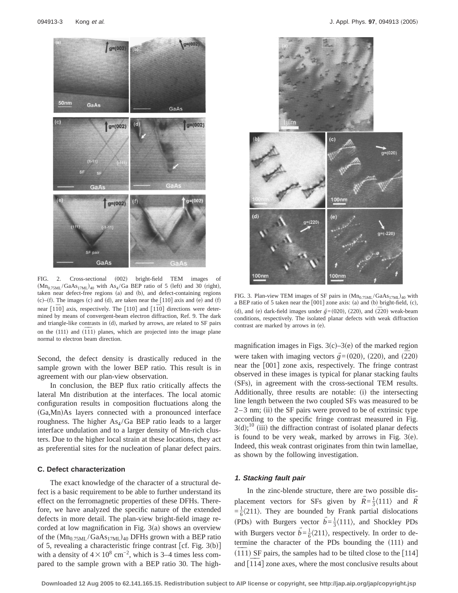

FIG. 2. Cross-sectional (002) bright-field TEM images of  $(Mn<sub>0.75ML</sub>/GaAs<sub>17ML</sub>)<sub>40</sub>$  with As<sub>4</sub>/Ga BEP ratio of 5 (left) and 30 (right), taken near defect-free regions (a) and (b), and defect-containing regions (c)–(f). The images (c) and (d), are taken near the  $\lceil 110 \rceil$  axis and (e) and (f) near  $[1\overline{1}0]$  axis, respectively. The  $[110]$  and  $[1\overline{1}0]$  directions were determined by means of convergent-beam electron diffraction, Ref. 9. The dark and triangle-like contrasts in (d), marked by arrows, are related to SF pairs on the  $(111)$  and  $(\overline{111})$  planes, which are projected into the image plane normal to electron beam direction.

Second, the defect density is drastically reduced in the sample grown with the lower BEP ratio. This result is in agreement with our plan-view observation.

In conclusion, the BEP flux ratio critically affects the lateral Mn distribution at the interfaces. The local atomic configuration results in composition fluctuations along the  $(Ga, Mn)$ As layers connected with a pronounced interface roughness. The higher  $As<sub>4</sub>/Ga$  BEP ratio leads to a larger interface undulation and to a larger density of Mn-rich clusters. Due to the higher local strain at these locations, they act as preferential sites for the nucleation of planar defect pairs.

### **C. Defect characterization**

The exact knowledge of the character of a structural defect is a basic requirement to be able to further understand its effect on the ferromagnetic properties of these DFHs. Therefore, we have analyzed the specific nature of the extended defects in more detail. The plan-view bright-field image recorded at low magnification in Fig.  $3(a)$  shows an overview of the  $(Mn_{0.75ML}/GaAs<sub>17ML</sub>)_{40}$  DFHs grown with a BEP ratio of 5, revealing a characteristic fringe contrast  $[cf. Fig. 3(b)]$ with a density of  $4\times10^8$  cm<sup>-2</sup>, which is 3–4 times less compared to the sample grown with a BEP ratio 30. The high-



FIG. 3. Plan-view TEM images of SF pairs in  $(Mn_{0.75ML}/GaAs_{17ML})_{40}$  with a BEP ratio of 5 taken near the  $[001]$  zone axis: (a) and (b) bright-field, (c), (d), and (e) dark-field images under  $\vec{g}$  =(020), (220), and (220) weak-beam conditions, respectively. The isolated planar defects with weak diffraction contrast are marked by arrows in (e).

magnification images in Figs.  $3(c) - 3(e)$  of the marked region were taken with imaging vectors  $\vec{g}$  = (020), (220), and  $(\overline{2}20)$ near the [001] zone axis, respectively. The fringe contrast observed in these images is typical for planar stacking faults (SFs), in agreement with the cross-sectional TEM results. Additionally, three results are notable: (i) the intersecting line length between the two coupled SFs was measured to be  $2-3$  nm; (ii) the SF pairs were proved to be of extrinsic type according to the specific fringe contrast measured in Fig.  $3(d)$ ;<sup>10</sup> (iii) the diffraction contrast of isolated planar defects is found to be very weak, marked by arrows in Fig.  $3(e)$ . Indeed, this weak contrast originates from thin twin lamellae, as shown by the following investigation.

# **1. Stacking fault pair**

In the zinc-blende structure, there are two possible displacement vectors for SFs given by  $\vec{R} = \frac{1}{3} \langle 111 \rangle$  and  $\vec{R}$ Y $=\frac{1}{6}\langle 211 \rangle$ . They are bounded by Frank partial dislocations (PDs) with Burgers vector  $\vec{b} = \frac{1}{3} \langle 111 \rangle$ , and Shockley PDs with Burgers vector  $\vec{b} = \frac{1}{6} \langle 211 \rangle$ , respectively. In order to determine the character of the PDs bounding the (111) and  $\frac{1}{111}$  SF pairs, the samples had to be tilted close to the [114] and  $\left[\overline{114}\right]$  zone axes, where the most conclusive results about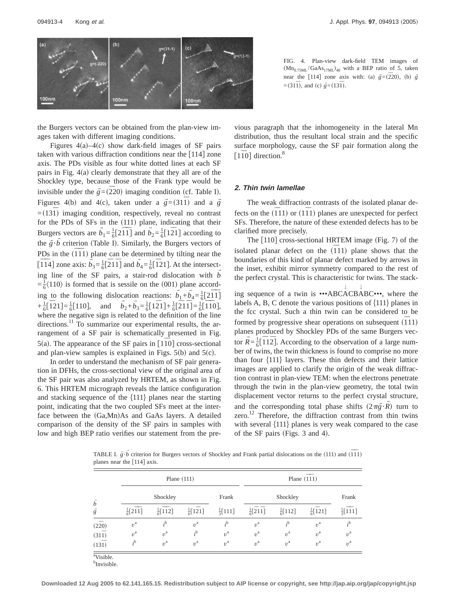

the Burgers vectors can be obtained from the plan-view images taken with different imaging conditions.

Figures  $4(a) - 4(c)$  show dark-field images of SF pairs taken with various diffraction conditions near the  $[114]$  zone axis. The PDs visible as four white dotted lines at each SF pairs in Fig.  $4(a)$  clearly demonstrate that they all are of the Shockley type, because those of the Frank type would be invisible under the  $\vec{g}$  =( $\overline{2}$ 20) imaging condition (cf. Table I). Figures 4(b) and 4(c), taken under a  $\vec{g} = (31\bar{1})$  and a  $\vec{g}$  $=(13\overline{1})$  imaging condition, respectively, reveal no contrast for the PDs of SFs in the  $(111)$  plane, indicating that their Burgers vectors are  $b_1 = \frac{1}{6} [2\overline{11}]$  and  $b_2 = \frac{1}{6} [1\overline{2}1]$  according to the  $g \cdot b$  criterion (Table I). Similarly, the Burgers vectors of Y $\frac{1}{8}$   $\frac{1}{8}$   $\frac{1}{2}$  contains the state  $\frac{1}{11}$  plane can be determined by tilting near the  $\frac{1}{2}$   $\frac{1}{2}$  and  $\frac{1}{6}$   $\frac{1}{6}$   $\frac{1}{2}$   $\frac{1}{1}$  and  $\frac{1}{6}$   $\frac{1}{6}$   $\frac{1}{6}$   $\frac{1}{1}$  and  $\frac{1}{6}$   $\frac{1}{6}$   $\frac{1}{1}$  and  $\frac{1}{6}$   $\frac{1}{6}$   $\frac{1}{1}$  and  $\frac{1}{6}$   $\frac{1}{6}$   $\frac{1}{1}$  and  $\frac{1}{6$ ing line of the SF pairs, a stair-rod dislocation with *b* Y $=\frac{1}{6}\langle110\rangle$  is formed that is sessile on the (001) plane according to the following dislocation reactions:  $\vec{b}_1 + \vec{b}_4 = \frac{1}{6} [2\overline{1}\overline{1}]$  $+\frac{1}{6}[\overline{1}21]=\frac{1}{6}[110]$ , and  $\overline{b}_2+\overline{b}_3=\frac{1}{6}[\overline{1}21]+\frac{1}{6}[\overline{2}1\overline{1}]=\frac{1}{6}[\overline{1}10]$ , where the negative sign is related to the definition of the line directions.<sup>11</sup> To summarize our experimental results, the arrangement of a SF pair is schematically presented in Fig. 5(a). The appearance of the SF pairs in  $\lceil 110 \rceil$  cross-sectional and plan-view samples is explained in Figs.  $5(b)$  and  $5(c)$ .

In order to understand the mechanism of SF pair generation in DFHs, the cross-sectional view of the original area of the SF pair was also analyzed by HRTEM, as shown in Fig. 6. This HRTEM micrograph reveals the lattice configuration and stacking sequence of the  $\{111\}$  planes near the starting point, indicating that the two coupled SFs meet at the interface between the (Ga,Mn)As and GaAs layers. A detailed comparison of the density of the SF pairs in samples with low and high BEP ratio verifies our statement from the pre-



vious paragraph that the inhomogeneity in the lateral Mn distribution, thus the resultant local strain and the specific surface morphology, cause the SF pair formation along the  $\lceil 11 \overline{1}0 \rceil$  direction.<sup>8</sup>

# **2. Thin twin lamellae**

The weak diffraction contrasts of the isolated planar defects on the  $(\overline{1}11)$  or  $(1\overline{1}1)$  planes are unexpected for perfect SFs. Therefore, the nature of these extended defects has to be clarified more precisely.

The  $[110]$  cross-sectional HRTEM image (Fig. 7) of the isolated planar defect on the  $(111)$  plane shows that the boundaries of this kind of planar defect marked by arrows in the inset, exhibit mirror symmetry compared to the rest of the perfect crystal. This is characteristic for twins. The stack-

ing sequence of a twin is  $\cdot\cdot\cdot\text{ABCACBABC}\cdot\cdot\cdot$ , where the labels A, B, C denote the various positions of  $\{111\}$  planes in the fcc crystal. Such a thin twin can be considered to be formed by progressive shear operations on subsequent (111) planes produced by Shockley PDs of the same Burgers vector  $\vec{R} = \frac{1}{6} [\overline{1}1\overline{2}]$ . According to the observation of a large number of twins, the twin thickness is found to comprise no more than four  $\{111\}$  layers. These thin defects and their lattice images are applied to clarify the origin of the weak diffraction contrast in plan-view TEM: when the electrons penetrate through the twin in the plan-view geometry, the total twin displacement vector returns to the perfect crystal structure, and the corresponding total phase shifts  $(2\pi \vec{g} \cdot R)$  turn to zero.<sup>12</sup> Therefore, the diffraction contrast from thin twins with several  $\{111\}$  planes is very weak compared to the case of the SF pairs (Figs. 3 and 4).

TABLE I.  $\tilde{g} \cdot \tilde{b}$  criterion for Burgers vectors of Shockley and Frank partial dislocations on the (111) and ( $11$ ) planes near the [114] axis.

|                       | Plane $(111)$                            |                               |                          |                    | Plane $(\overline{111})$       |                    |                               |                               |
|-----------------------|------------------------------------------|-------------------------------|--------------------------|--------------------|--------------------------------|--------------------|-------------------------------|-------------------------------|
|                       | Shockley                                 |                               |                          | Frank              | Shockley                       |                    |                               | Frank                         |
| b<br>$\vec{g}$        | $\frac{1}{6}[2\overline{1}\overline{1}]$ | $\frac{1}{6}[\overline{11}2]$ | $\frac{1}{6}[1\bar{2}1]$ | $\frac{1}{3}[111]$ | $\frac{1}{6}[\bar{2}1\bar{1}]$ | $\frac{1}{6}[112]$ | $\frac{1}{6}[\overline{1}21]$ | $\frac{1}{3}[\overline{111}]$ |
| $(2\bar{2}0)$         | $v^{\rm a}$                              | $i^{\rm b}$                   | $v^{\rm a}$              | $i^{\rm b}$        | $v^{\rm a}$                    | $i^{\rm b}$        | $v^{\rm a}$                   | $i^{\rm b}$                   |
| $(31\bar{1})$         | $v^{\rm a}$                              | $v^{\rm a}$                   | $i^{\rm b}$              | $v^{\rm a}$        | $v^{\rm a}$                    | $v^{\rm a}$        | $v^{\rm a}$                   | $v^{\rm a}$                   |
| $(13\bar{1})$         | $i^{\rm b}$                              | $v^{\rm a}$                   | $v^{\rm a}$              | $v^{\rm a}$        | $v^{\rm a}$                    | $v^{\rm a}$        | $v^{\rm a}$                   | $v^{\rm a}$                   |
| <sup>a</sup> Visible. |                                          |                               |                          |                    |                                |                    |                               |                               |

<sup>b</sup>Invisible.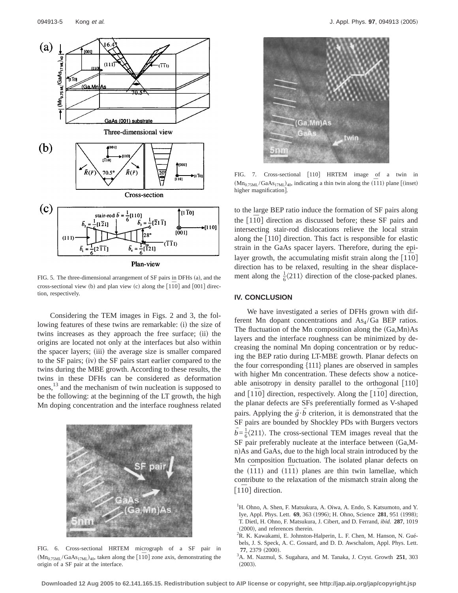

FIG. 5. The three-dimensional arrangement of SF pairs in DFHs (a), and the cross-sectional view (b) and plan view (c) along the  $\lceil 1\bar{1}0\rceil$  and  $\lceil 001\rceil$  direction, respectively.

Considering the TEM images in Figs. 2 and 3, the following features of these twins are remarkable: (i) the size of twins increases as they approach the free surface; (ii) the origins are located not only at the interfaces but also within the spacer layers; (iii) the average size is smaller compared to the SF pairs; (iv) the SF pairs start earlier compared to the twins during the MBE growth. According to these results, the twins in these DFHs can be considered as deformation ones,<sup>13</sup> and the mechanism of twin nucleation is supposed to be the following: at the beginning of the LT growth, the high Mn doping concentration and the interface roughness related



FIG. 6. Cross-sectional HRTEM micrograph of a SF pair in  $(Mn<sub>0.75M</sub>/GaAs<sub>17M</sub>)<sub>40</sub>$ , taken along the [1<sup> $70$ </sup>] zone axis, demonstrating the origin of a SF pair at the interface.



FIG. 7. Cross-sectional [110] HRTEM image of a twin in  $(Mn_{0.75ML}/GaAs<sub>17ML</sub>)_{40}$ , indicating a thin twin along the  $(\overline{1}11)$  plane [(inset) higher magnification].

to the large BEP ratio induce the formation of SF pairs along the [110] direction as discussed before; these SF pairs and intersecting stair-rod dislocations relieve the local strain along the  $[110]$  direction. This fact is responsible for elastic strain in the GaAs spacer layers. Therefore, during the epilayer growth, the accumulating misfit strain along the [110] direction has to be relaxed, resulting in the shear displacement along the  $\frac{1}{6}$ (211) direction of the close-packed planes.

# **IV. CONCLUSION**

We have investigated a series of DFHs grown with different Mn dopant concentrations and  $As<sub>4</sub>/Ga$  BEP ratios. The fluctuation of the Mn composition along the  $(Ga, Mn)As$ layers and the interface roughness can be minimized by decreasing the nominal Mn doping concentration or by reducing the BEP ratio during LT-MBE growth. Planar defects on the four corresponding  $\{111\}$  planes are observed in samples with higher Mn concentration. These defects show a noticeable anisotropy in density parallel to the orthogonal  $[110]$ and [110] direction, respectively. Along the [110] direction, the planar defects are SFs preferentially formed as V-shaped pairs. Applying the  $g \cdot b$  criterion, it is demonstrated that the YSF pairs are bounded by Shockley PDs with Burgers vectors  $b = \frac{1}{6}$ (211). The cross-sectional TEM images reveal that the YSF pair preferably nucleate at the interface between (Ga,Mn)As and GaAs, due to the high local strain introduced by the Mn composition fluctuation. The isolated planar defects on the  $(111)$  and  $(111)$  planes are thin twin lamellae, which contribute to the relaxation of the mismatch strain along the [110] direction.

<sup>&</sup>lt;sup>1</sup>H. Ohno, A. Shen, F. Matsukura, A. Oiwa, A. Endo, S. Katsumoto, and Y. Iye, Appl. Phys. Lett. **69**, 363 (1996); H. Ohno, Science 281, 951 (1998); T. Dietl, H. Ohno, F. Matsukura, J. Cibert, and D. Ferrand, *ibid.* **287**, 1019  $(2000)$ , and references therein.

<sup>&</sup>lt;sup>2</sup>R. K. Kawakami, E. Johnston-Halperin, L. F. Chen, M. Hanson, N. Guébels, J. S. Speck, A. C. Gossard, and D. D. Awschalom, Appl. Phys. Lett. **77.** 2379 (2000).

A. M. Nazmul, S. Sugahara, and M. Tanaka, J. Cryst. Growth **251**, 303  $(2003)$ .